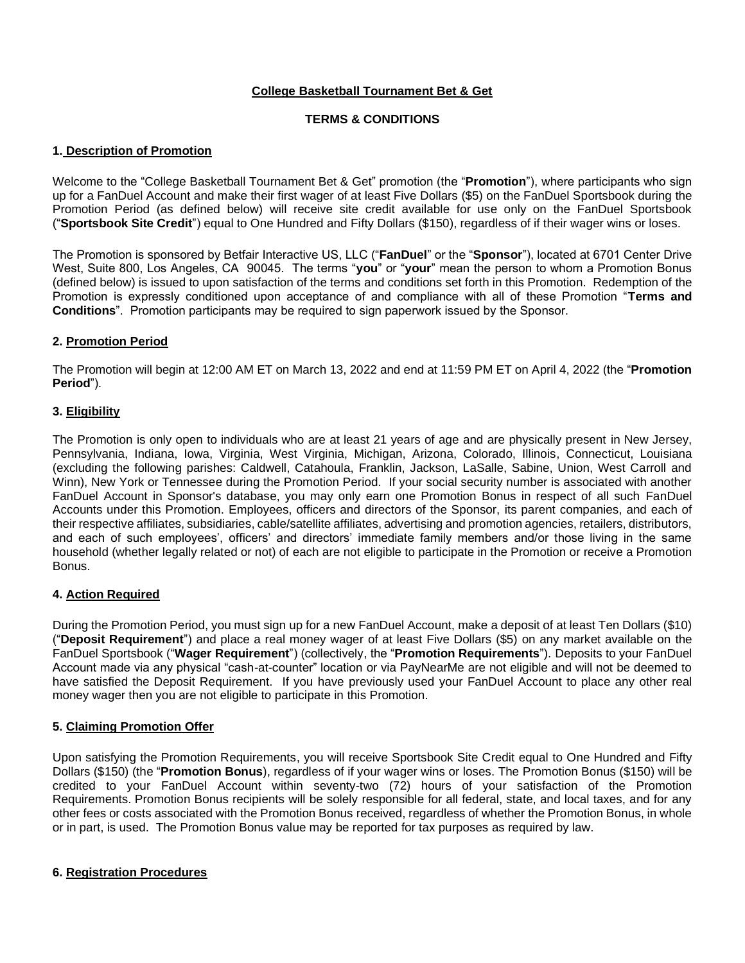# **College Basketball Tournament Bet & Get**

# **TERMS & CONDITIONS**

## **1. Description of Promotion**

Welcome to the "College Basketball Tournament Bet & Get" promotion (the "**Promotion**"), where participants who sign up for a FanDuel Account and make their first wager of at least Five Dollars (\$5) on the FanDuel Sportsbook during the Promotion Period (as defined below) will receive site credit available for use only on the FanDuel Sportsbook ("**Sportsbook Site Credit**") equal to One Hundred and Fifty Dollars (\$150), regardless of if their wager wins or loses.

The Promotion is sponsored by Betfair Interactive US, LLC ("**FanDuel**" or the "**Sponsor**"), located at 6701 Center Drive West, Suite 800, Los Angeles, CA 90045. The terms "**you**" or "**your**" mean the person to whom a Promotion Bonus (defined below) is issued to upon satisfaction of the terms and conditions set forth in this Promotion. Redemption of the Promotion is expressly conditioned upon acceptance of and compliance with all of these Promotion "**Terms and Conditions**". Promotion participants may be required to sign paperwork issued by the Sponsor.

## **2. Promotion Period**

The Promotion will begin at 12:00 AM ET on March 13, 2022 and end at 11:59 PM ET on April 4, 2022 (the "**Promotion Period**").

## **3. Eligibility**

The Promotion is only open to individuals who are at least 21 years of age and are physically present in New Jersey, Pennsylvania, Indiana, Iowa, Virginia, West Virginia, Michigan, Arizona, Colorado, Illinois, Connecticut, Louisiana (excluding the following parishes: Caldwell, Catahoula, Franklin, Jackson, LaSalle, Sabine, Union, West Carroll and Winn), New York or Tennessee during the Promotion Period. If your social security number is associated with another FanDuel Account in Sponsor's database, you may only earn one Promotion Bonus in respect of all such FanDuel Accounts under this Promotion. Employees, officers and directors of the Sponsor, its parent companies, and each of their respective affiliates, subsidiaries, cable/satellite affiliates, advertising and promotion agencies, retailers, distributors, and each of such employees', officers' and directors' immediate family members and/or those living in the same household (whether legally related or not) of each are not eligible to participate in the Promotion or receive a Promotion Bonus.

# **4. Action Required**

During the Promotion Period, you must sign up for a new FanDuel Account, make a deposit of at least Ten Dollars (\$10) ("**Deposit Requirement**") and place a real money wager of at least Five Dollars (\$5) on any market available on the FanDuel Sportsbook ("**Wager Requirement**") (collectively, the "**Promotion Requirements**"). Deposits to your FanDuel Account made via any physical "cash-at-counter" location or via PayNearMe are not eligible and will not be deemed to have satisfied the Deposit Requirement. If you have previously used your FanDuel Account to place any other real money wager then you are not eligible to participate in this Promotion.

### **5. Claiming Promotion Offer**

Upon satisfying the Promotion Requirements, you will receive Sportsbook Site Credit equal to One Hundred and Fifty Dollars (\$150) (the "**Promotion Bonus**), regardless of if your wager wins or loses. The Promotion Bonus (\$150) will be credited to your FanDuel Account within seventy-two (72) hours of your satisfaction of the Promotion Requirements. Promotion Bonus recipients will be solely responsible for all federal, state, and local taxes, and for any other fees or costs associated with the Promotion Bonus received, regardless of whether the Promotion Bonus, in whole or in part, is used. The Promotion Bonus value may be reported for tax purposes as required by law.

### **6. Registration Procedures**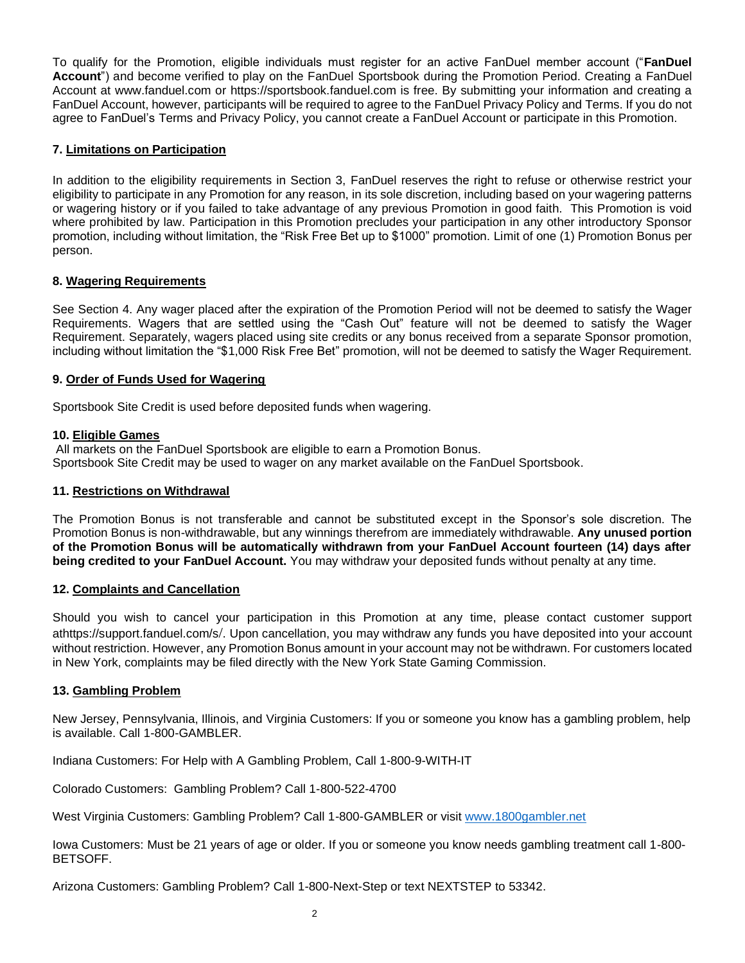To qualify for the Promotion, eligible individuals must register for an active FanDuel member account ("**FanDuel Account**") and become verified to play on the FanDuel Sportsbook during the Promotion Period. Creating a FanDuel Account at www.fanduel.com or https://sportsbook.fanduel.com is free. By submitting your information and creating a FanDuel Account, however, participants will be required to agree to the FanDuel Privacy Policy and Terms. If you do not agree to FanDuel's Terms and Privacy Policy, you cannot create a FanDuel Account or participate in this Promotion.

## **7. Limitations on Participation**

In addition to the eligibility requirements in Section 3, FanDuel reserves the right to refuse or otherwise restrict your eligibility to participate in any Promotion for any reason, in its sole discretion, including based on your wagering patterns or wagering history or if you failed to take advantage of any previous Promotion in good faith. This Promotion is void where prohibited by law. Participation in this Promotion precludes your participation in any other introductory Sponsor promotion, including without limitation, the "Risk Free Bet up to \$1000" promotion. Limit of one (1) Promotion Bonus per person.

# **8. Wagering Requirements**

See Section 4. Any wager placed after the expiration of the Promotion Period will not be deemed to satisfy the Wager Requirements. Wagers that are settled using the "Cash Out" feature will not be deemed to satisfy the Wager Requirement. Separately, wagers placed using site credits or any bonus received from a separate Sponsor promotion, including without limitation the "\$1,000 Risk Free Bet" promotion, will not be deemed to satisfy the Wager Requirement.

## **9. Order of Funds Used for Wagering**

Sportsbook Site Credit is used before deposited funds when wagering.

## **10. Eligible Games**

All markets on the FanDuel Sportsbook are eligible to earn a Promotion Bonus. Sportsbook Site Credit may be used to wager on any market available on the FanDuel Sportsbook.

### **11. Restrictions on Withdrawal**

The Promotion Bonus is not transferable and cannot be substituted except in the Sponsor's sole discretion. The Promotion Bonus is non-withdrawable, but any winnings therefrom are immediately withdrawable. **Any unused portion of the Promotion Bonus will be automatically withdrawn from your FanDuel Account fourteen (14) days after being credited to your FanDuel Account.** You may withdraw your deposited funds without penalty at any time.

### **12. Complaints and Cancellation**

Should you wish to cancel your participation in this Promotion at any time, please contact customer support athttps://support.fanduel.com/s/. Upon cancellation, you may withdraw any funds you have deposited into your account without restriction. However, any Promotion Bonus amount in your account may not be withdrawn. For customers located in New York, complaints may be filed directly with the New York State Gaming Commission.

### **13. Gambling Problem**

New Jersey, Pennsylvania, Illinois, and Virginia Customers: If you or someone you know has a gambling problem, help is available. Call 1-800-GAMBLER.

Indiana Customers: For Help with A Gambling Problem, Call 1-800-9-WITH-IT

Colorado Customers: Gambling Problem? Call 1-800-522-4700

West Virginia Customers: Gambling Problem? Call 1-800-GAMBLER or visit [www.1800gambler.net](http://www.1800gambler.net/)

Iowa Customers: Must be 21 years of age or older. If you or someone you know needs gambling treatment call 1-800- BETSOFF.

Arizona Customers: Gambling Problem? Call 1-800-Next-Step or text NEXTSTEP to 53342.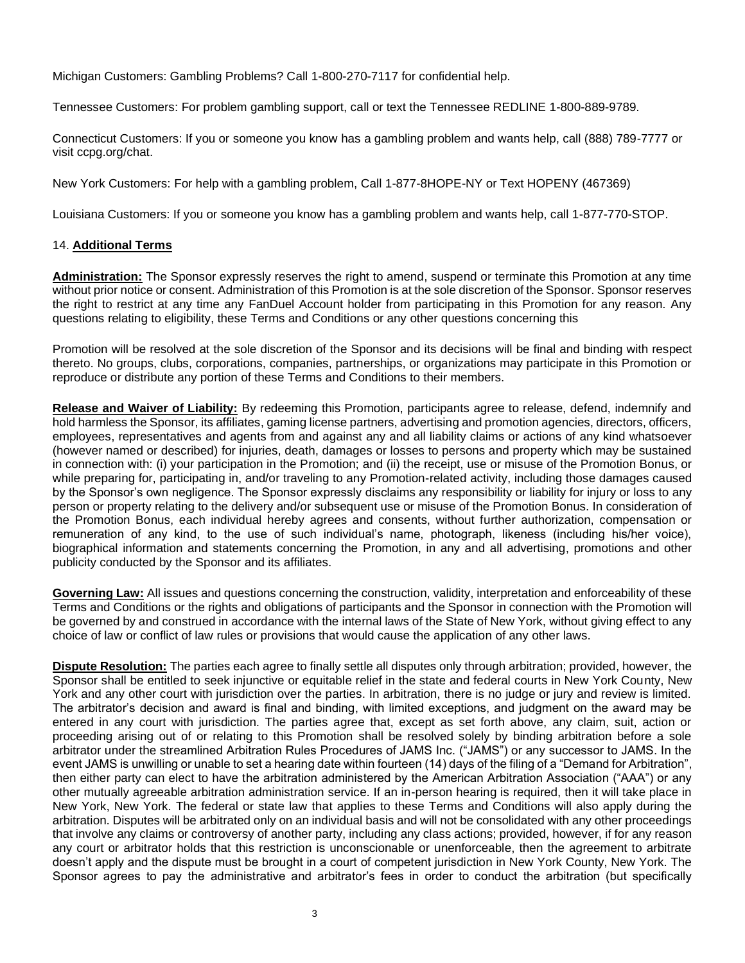Michigan Customers: Gambling Problems? Call 1-800-270-7117 for confidential help.

Tennessee Customers: For problem gambling support, call or text the Tennessee REDLINE 1-800-889-9789.

Connecticut Customers: If you or someone you know has a gambling problem and wants help, call (888) 789-7777 or visit ccpg.org/chat.

New York Customers: For help with a gambling problem, Call 1-877-8HOPE-NY or Text HOPENY (467369)

Louisiana Customers: If you or someone you know has a gambling problem and wants help, call 1-877-770-STOP.

## 14. **Additional Terms**

**Administration:** The Sponsor expressly reserves the right to amend, suspend or terminate this Promotion at any time without prior notice or consent. Administration of this Promotion is at the sole discretion of the Sponsor. Sponsor reserves the right to restrict at any time any FanDuel Account holder from participating in this Promotion for any reason. Any questions relating to eligibility, these Terms and Conditions or any other questions concerning this

Promotion will be resolved at the sole discretion of the Sponsor and its decisions will be final and binding with respect thereto. No groups, clubs, corporations, companies, partnerships, or organizations may participate in this Promotion or reproduce or distribute any portion of these Terms and Conditions to their members.

**Release and Waiver of Liability:** By redeeming this Promotion, participants agree to release, defend, indemnify and hold harmless the Sponsor, its affiliates, gaming license partners, advertising and promotion agencies, directors, officers, employees, representatives and agents from and against any and all liability claims or actions of any kind whatsoever (however named or described) for injuries, death, damages or losses to persons and property which may be sustained in connection with: (i) your participation in the Promotion; and (ii) the receipt, use or misuse of the Promotion Bonus, or while preparing for, participating in, and/or traveling to any Promotion-related activity, including those damages caused by the Sponsor's own negligence. The Sponsor expressly disclaims any responsibility or liability for injury or loss to any person or property relating to the delivery and/or subsequent use or misuse of the Promotion Bonus. In consideration of the Promotion Bonus, each individual hereby agrees and consents, without further authorization, compensation or remuneration of any kind, to the use of such individual's name, photograph, likeness (including his/her voice), biographical information and statements concerning the Promotion, in any and all advertising, promotions and other publicity conducted by the Sponsor and its affiliates.

**Governing Law:** All issues and questions concerning the construction, validity, interpretation and enforceability of these Terms and Conditions or the rights and obligations of participants and the Sponsor in connection with the Promotion will be governed by and construed in accordance with the internal laws of the State of New York, without giving effect to any choice of law or conflict of law rules or provisions that would cause the application of any other laws.

**Dispute Resolution:** The parties each agree to finally settle all disputes only through arbitration; provided, however, the Sponsor shall be entitled to seek injunctive or equitable relief in the state and federal courts in New York County, New York and any other court with jurisdiction over the parties. In arbitration, there is no judge or jury and review is limited. The arbitrator's decision and award is final and binding, with limited exceptions, and judgment on the award may be entered in any court with jurisdiction. The parties agree that, except as set forth above, any claim, suit, action or proceeding arising out of or relating to this Promotion shall be resolved solely by binding arbitration before a sole arbitrator under the streamlined Arbitration Rules Procedures of JAMS Inc. ("JAMS") or any successor to JAMS. In the event JAMS is unwilling or unable to set a hearing date within fourteen (14) days of the filing of a "Demand for Arbitration", then either party can elect to have the arbitration administered by the American Arbitration Association ("AAA") or any other mutually agreeable arbitration administration service. If an in-person hearing is required, then it will take place in New York, New York. The federal or state law that applies to these Terms and Conditions will also apply during the arbitration. Disputes will be arbitrated only on an individual basis and will not be consolidated with any other proceedings that involve any claims or controversy of another party, including any class actions; provided, however, if for any reason any court or arbitrator holds that this restriction is unconscionable or unenforceable, then the agreement to arbitrate doesn't apply and the dispute must be brought in a court of competent jurisdiction in New York County, New York. The Sponsor agrees to pay the administrative and arbitrator's fees in order to conduct the arbitration (but specifically